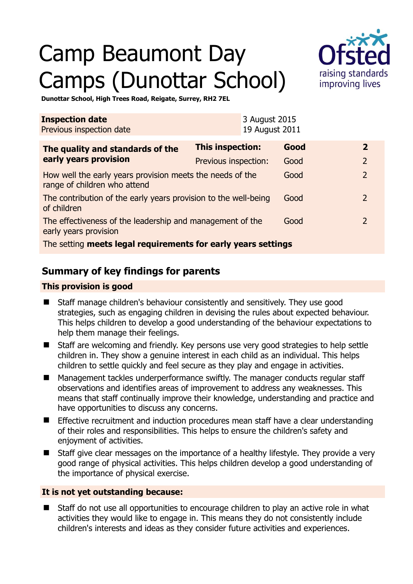# Camp Beaumont Day Camps (Dunottar School)



**Dunottar School, High Trees Road, Reigate, Surrey, RH2 7EL** 

| <b>Inspection date</b><br>Previous inspection date                                        |                      | 3 August 2015<br>19 August 2011 |      |                |
|-------------------------------------------------------------------------------------------|----------------------|---------------------------------|------|----------------|
| The quality and standards of the<br>early years provision                                 | This inspection:     |                                 | Good | $\mathbf{2}$   |
|                                                                                           | Previous inspection: |                                 | Good | $\overline{2}$ |
| How well the early years provision meets the needs of the<br>range of children who attend |                      |                                 | Good | $\overline{2}$ |
| The contribution of the early years provision to the well-being<br>of children            |                      |                                 | Good | $\mathcal{L}$  |
| The effectiveness of the leadership and management of the<br>early years provision        |                      |                                 | Good | $\mathcal{L}$  |
| The setting meets legal requirements for early years settings                             |                      |                                 |      |                |

# **Summary of key findings for parents**

## **This provision is good**

- Staff manage children's behaviour consistently and sensitively. They use good strategies, such as engaging children in devising the rules about expected behaviour. This helps children to develop a good understanding of the behaviour expectations to help them manage their feelings.
- Staff are welcoming and friendly. Key persons use very good strategies to help settle children in. They show a genuine interest in each child as an individual. This helps children to settle quickly and feel secure as they play and engage in activities.
- Management tackles underperformance swiftly. The manager conducts regular staff observations and identifies areas of improvement to address any weaknesses. This means that staff continually improve their knowledge, understanding and practice and have opportunities to discuss any concerns.
- **Effective recruitment and induction procedures mean staff have a clear understanding** of their roles and responsibilities. This helps to ensure the children's safety and enjoyment of activities.
- Staff give clear messages on the importance of a healthy lifestyle. They provide a very good range of physical activities. This helps children develop a good understanding of the importance of physical exercise.

#### **It is not yet outstanding because:**

 Staff do not use all opportunities to encourage children to play an active role in what activities they would like to engage in. This means they do not consistently include children's interests and ideas as they consider future activities and experiences.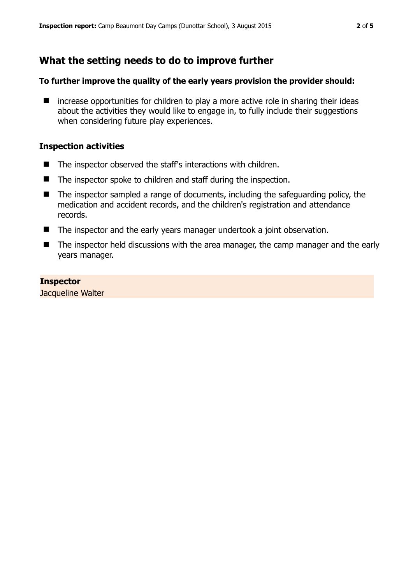# **What the setting needs to do to improve further**

#### **To further improve the quality of the early years provision the provider should:**

 $\blacksquare$  increase opportunities for children to play a more active role in sharing their ideas about the activities they would like to engage in, to fully include their suggestions when considering future play experiences.

## **Inspection activities**

- The inspector observed the staff's interactions with children.
- The inspector spoke to children and staff during the inspection.
- The inspector sampled a range of documents, including the safeguarding policy, the medication and accident records, and the children's registration and attendance records.
- The inspector and the early years manager undertook a joint observation.
- The inspector held discussions with the area manager, the camp manager and the early years manager.

#### **Inspector**  Jacqueline Walter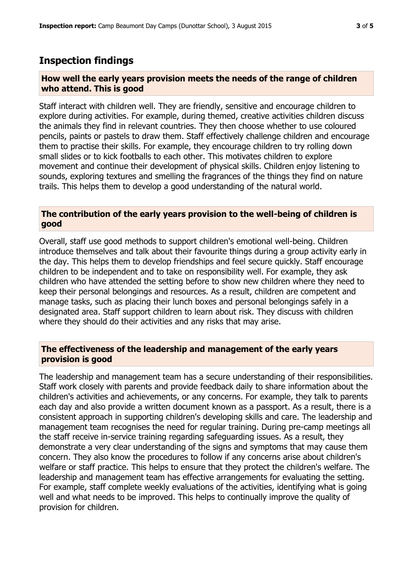## **Inspection findings**

#### **How well the early years provision meets the needs of the range of children who attend. This is good**

Staff interact with children well. They are friendly, sensitive and encourage children to explore during activities. For example, during themed, creative activities children discuss the animals they find in relevant countries. They then choose whether to use coloured pencils, paints or pastels to draw them. Staff effectively challenge children and encourage them to practise their skills. For example, they encourage children to try rolling down small slides or to kick footballs to each other. This motivates children to explore movement and continue their development of physical skills. Children enjoy listening to sounds, exploring textures and smelling the fragrances of the things they find on nature trails. This helps them to develop a good understanding of the natural world.

#### **The contribution of the early years provision to the well-being of children is good**

Overall, staff use good methods to support children's emotional well-being. Children introduce themselves and talk about their favourite things during a group activity early in the day. This helps them to develop friendships and feel secure quickly. Staff encourage children to be independent and to take on responsibility well. For example, they ask children who have attended the setting before to show new children where they need to keep their personal belongings and resources. As a result, children are competent and manage tasks, such as placing their lunch boxes and personal belongings safely in a designated area. Staff support children to learn about risk. They discuss with children where they should do their activities and any risks that may arise.

## **The effectiveness of the leadership and management of the early years provision is good**

The leadership and management team has a secure understanding of their responsibilities. Staff work closely with parents and provide feedback daily to share information about the children's activities and achievements, or any concerns. For example, they talk to parents each day and also provide a written document known as a passport. As a result, there is a consistent approach in supporting children's developing skills and care. The leadership and management team recognises the need for regular training. During pre-camp meetings all the staff receive in-service training regarding safeguarding issues. As a result, they demonstrate a very clear understanding of the signs and symptoms that may cause them concern. They also know the procedures to follow if any concerns arise about children's welfare or staff practice. This helps to ensure that they protect the children's welfare. The leadership and management team has effective arrangements for evaluating the setting. For example, staff complete weekly evaluations of the activities, identifying what is going well and what needs to be improved. This helps to continually improve the quality of provision for children.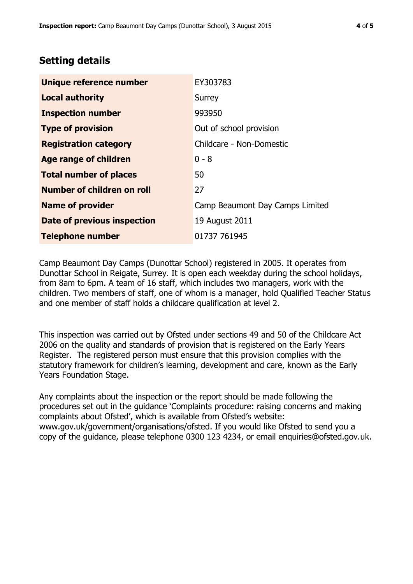# **Setting details**

| Unique reference number       | EY303783                        |  |
|-------------------------------|---------------------------------|--|
| <b>Local authority</b>        | Surrey                          |  |
| <b>Inspection number</b>      | 993950                          |  |
| <b>Type of provision</b>      | Out of school provision         |  |
| <b>Registration category</b>  | Childcare - Non-Domestic        |  |
| <b>Age range of children</b>  | $0 - 8$                         |  |
| <b>Total number of places</b> | 50                              |  |
| Number of children on roll    | 27                              |  |
| <b>Name of provider</b>       | Camp Beaumont Day Camps Limited |  |
| Date of previous inspection   | 19 August 2011                  |  |
| <b>Telephone number</b>       | 01737 761945                    |  |

Camp Beaumont Day Camps (Dunottar School) registered in 2005. It operates from Dunottar School in Reigate, Surrey. It is open each weekday during the school holidays, from 8am to 6pm. A team of 16 staff, which includes two managers, work with the children. Two members of staff, one of whom is a manager, hold Qualified Teacher Status and one member of staff holds a childcare qualification at level 2.

This inspection was carried out by Ofsted under sections 49 and 50 of the Childcare Act 2006 on the quality and standards of provision that is registered on the Early Years Register. The registered person must ensure that this provision complies with the statutory framework for children's learning, development and care, known as the Early Years Foundation Stage.

Any complaints about the inspection or the report should be made following the procedures set out in the guidance 'Complaints procedure: raising concerns and making complaints about Ofsted', which is available from Ofsted's website: www.gov.uk/government/organisations/ofsted. If you would like Ofsted to send you a copy of the guidance, please telephone 0300 123 4234, or email enquiries@ofsted.gov.uk.